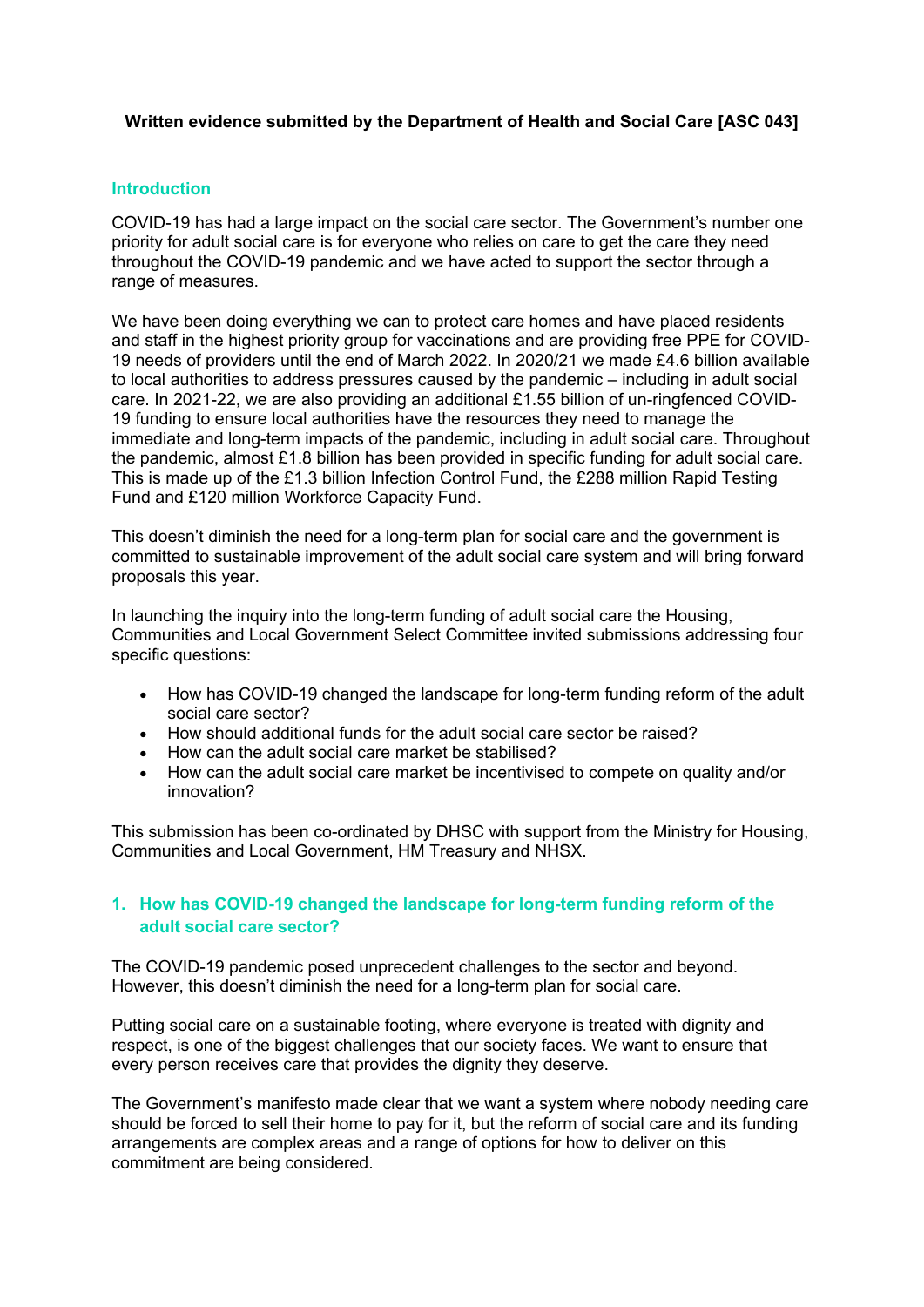### **Written evidence submitted by the Department of Health and Social Care [ASC 043]**

#### **Introduction**

COVID-19 has had a large impact on the social care sector. The Government's number one priority for adult social care is for everyone who relies on care to get the care they need throughout the COVID-19 pandemic and we have acted to support the sector through a range of measures.

We have been doing everything we can to protect care homes and have placed residents and staff in the highest priority group for vaccinations and are providing free PPE for COVID-19 needs of providers until the end of March 2022. In 2020/21 we made £4.6 billion available to local authorities to address pressures caused by the pandemic – including in adult social care. In 2021-22, we are also providing an additional £1.55 billion of un-ringfenced COVID-19 funding to ensure local authorities have the resources they need to manage the immediate and long-term impacts of the pandemic, including in adult social care. Throughout the pandemic, almost £1.8 billion has been provided in specific funding for adult social care. This is made up of the £1.3 billion Infection Control Fund, the £288 million Rapid Testing Fund and £120 million Workforce Capacity Fund.

This doesn't diminish the need for a long-term plan for social care and the government is committed to sustainable improvement of the adult social care system and will bring forward proposals this year.

In launching the inquiry into the long-term funding of adult social care the Housing, Communities and Local Government Select Committee invited submissions addressing four specific questions:

- How has COVID-19 changed the landscape for long-term funding reform of the adult social care sector?
- How should additional funds for the adult social care sector be raised?
- How can the adult social care market be stabilised?
- How can the adult social care market be incentivised to compete on quality and/or innovation?

This submission has been co-ordinated by DHSC with support from the Ministry for Housing, Communities and Local Government, HM Treasury and NHSX.

# **1. How has COVID-19 changed the landscape for long-term funding reform of the adult social care sector?**

The COVID-19 pandemic posed unprecedent challenges to the sector and beyond. However, this doesn't diminish the need for a long-term plan for social care.

Putting social care on a sustainable footing, where everyone is treated with dignity and respect, is one of the biggest challenges that our society faces. We want to ensure that every person receives care that provides the dignity they deserve.

The Government's manifesto made clear that we want a system where nobody needing care should be forced to sell their home to pay for it, but the reform of social care and its funding arrangements are complex areas and a range of options for how to deliver on this commitment are being considered.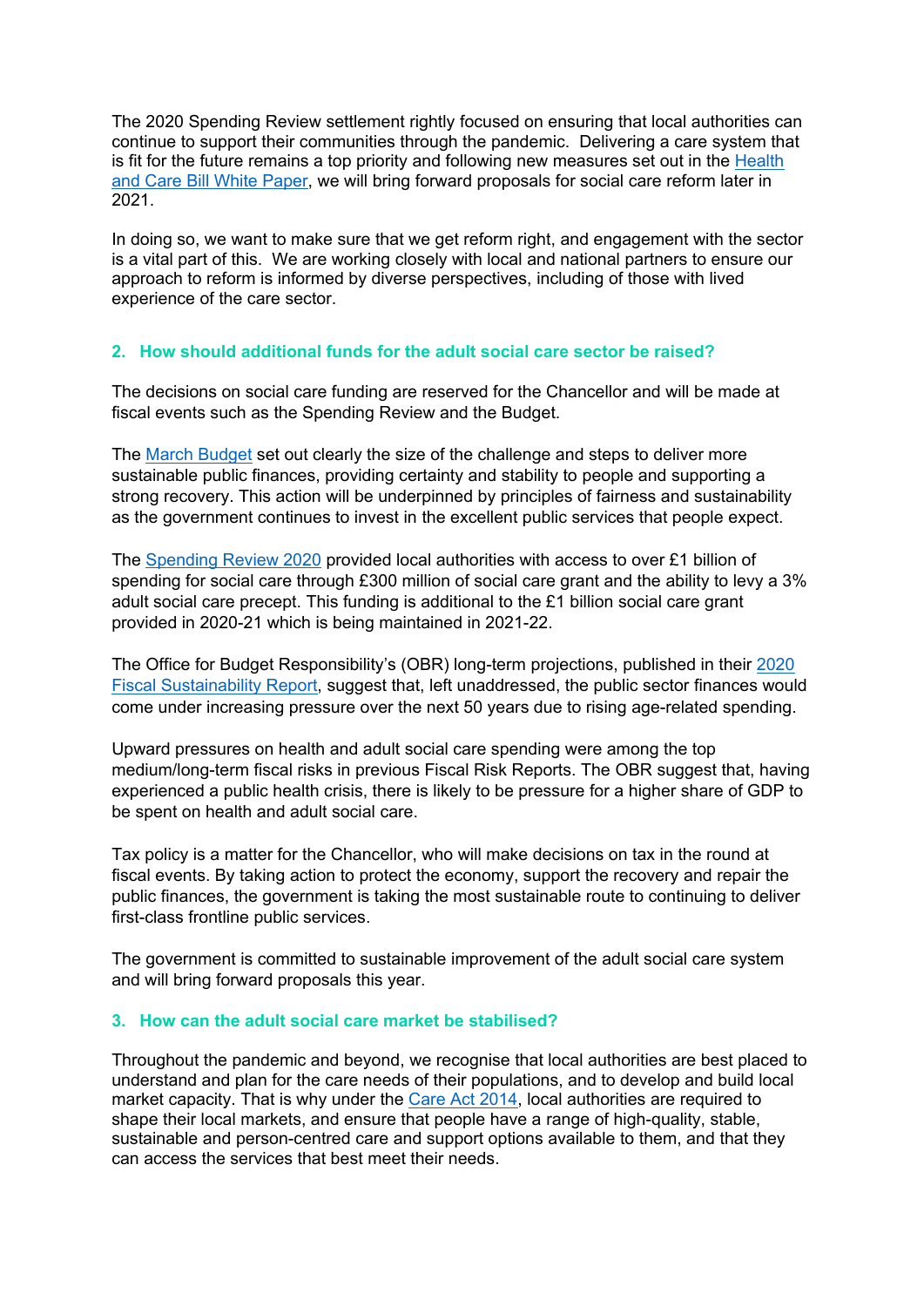The 2020 Spending Review settlement rightly focused on ensuring that local authorities can continue to support their communities through the pandemic. Delivering a care system that is fit for the future remains a top priority and following new measures set out in the [Health](https://www.gov.uk/government/publications/working-together-to-improve-health-and-social-care-for-all) [and](https://www.gov.uk/government/publications/working-together-to-improve-health-and-social-care-for-all) [Care](https://www.gov.uk/government/publications/working-together-to-improve-health-and-social-care-for-all) [Bill](https://www.gov.uk/government/publications/working-together-to-improve-health-and-social-care-for-all) [White](https://www.gov.uk/government/publications/working-together-to-improve-health-and-social-care-for-all) [Paper,](https://www.gov.uk/government/publications/working-together-to-improve-health-and-social-care-for-all) we will bring forward proposals for social care reform later in 2021.

In doing so, we want to make sure that we get reform right, and engagement with the sector is a vital part of this. We are working closely with local and national partners to ensure our approach to reform is informed by diverse perspectives, including of those with lived experience of the care sector.

# **2. How should additional funds for the adult social care sector be raised?**

The decisions on social care funding are reserved for the Chancellor and will be made at fiscal events such as the Spending Review and the Budget.

The [March](https://www.gov.uk/government/publications/budget-2021-documents) [Budget](https://www.gov.uk/government/publications/budget-2021-documents) set out clearly the size of the challenge and steps to deliver more sustainable public finances, providing certainty and stability to people and supporting a strong recovery. This action will be underpinned by principles of fairness and sustainability as the government continues to invest in the excellent public services that people expect.

The [Spending](https://www.gov.uk/government/publications/spending-review-2020-documents) [Review](https://www.gov.uk/government/publications/spending-review-2020-documents) [2020](https://www.gov.uk/government/publications/spending-review-2020-documents) provided local authorities with access to over £1 billion of spending for social care through £300 million of social care grant and the ability to levy a 3% adult social care precept. This funding is additional to the £1 billion social care grant provided in 2020-21 which is being maintained in 2021-22.

The Office for Budget Responsibility's (OBR) long-term projections, published in their [2020](https://obr.uk/fsr/fiscal-sustainability-report-july-2020/) [Fiscal](https://obr.uk/fsr/fiscal-sustainability-report-july-2020/) [Sustainability](https://obr.uk/fsr/fiscal-sustainability-report-july-2020/) [Report,](https://obr.uk/fsr/fiscal-sustainability-report-july-2020/) suggest that, left unaddressed, the public sector finances would come under increasing pressure over the next 50 years due to rising age-related spending.

Upward pressures on health and adult social care spending were among the top medium/long-term fiscal risks in previous Fiscal Risk Reports. The OBR suggest that, having experienced a public health crisis, there is likely to be pressure for a higher share of GDP to be spent on health and adult social care.

Tax policy is a matter for the Chancellor, who will make decisions on tax in the round at fiscal events. By taking action to protect the economy, support the recovery and repair the public finances, the government is taking the most sustainable route to continuing to deliver first-class frontline public services.

The government is committed to sustainable improvement of the adult social care system and will bring forward proposals this year.

### **3. How can the adult social care market be stabilised?**

Throughout the pandemic and beyond, we recognise that local authorities are best placed to understand and plan for the care needs of their populations, and to develop and build local market capacity. That is why under the [Care](https://www.legislation.gov.uk/ukpga/2014/23/contents/enacted) [Act](https://www.legislation.gov.uk/ukpga/2014/23/contents/enacted) [2014,](https://www.legislation.gov.uk/ukpga/2014/23/contents/enacted) local authorities are required to shape their local markets, and ensure that people have a range of high-quality, stable, sustainable and person-centred care and support options available to them, and that they can access the services that best meet their needs.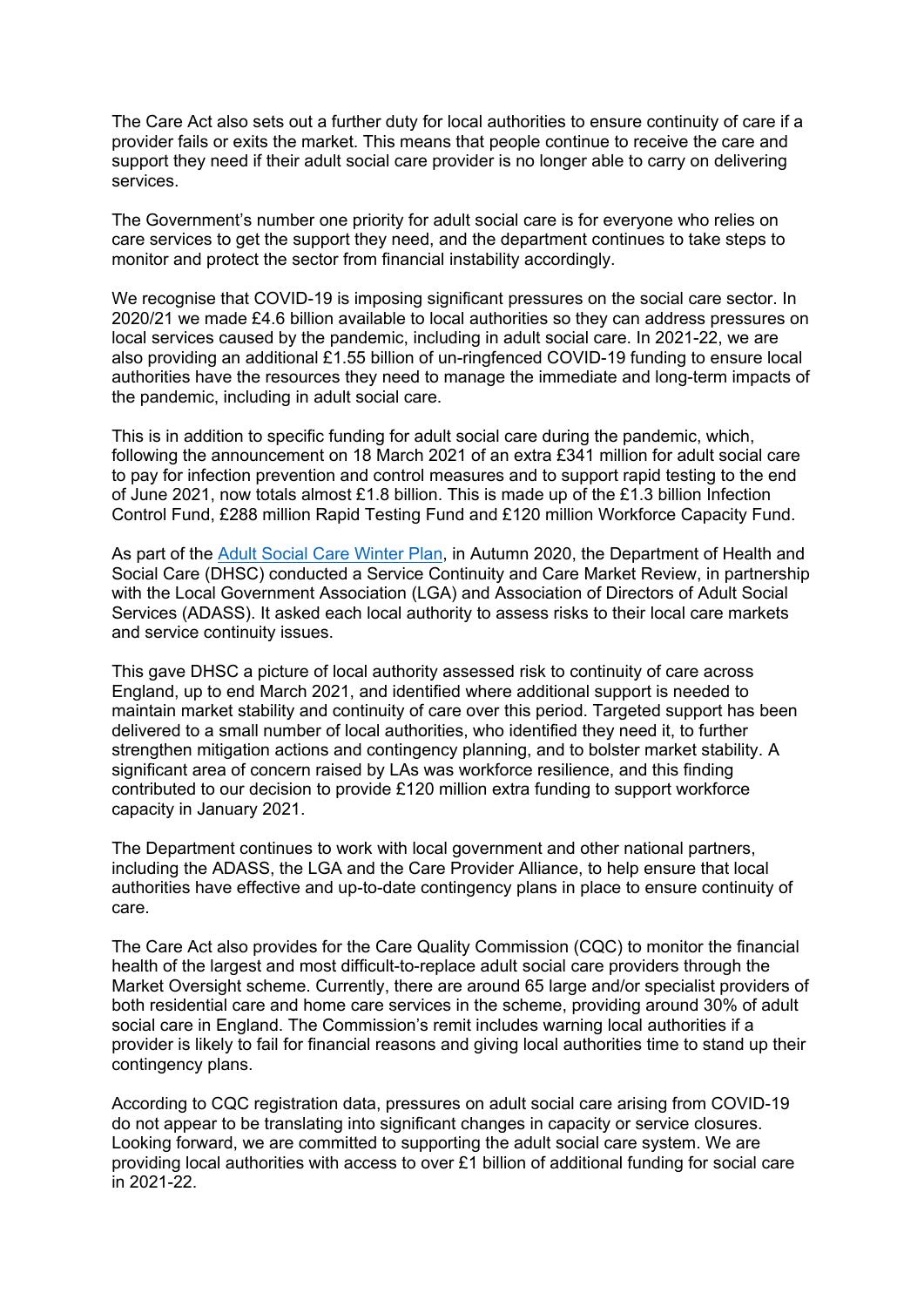The Care Act also sets out a further duty for local authorities to ensure continuity of care if a provider fails or exits the market. This means that people continue to receive the care and support they need if their adult social care provider is no longer able to carry on delivering services.

The Government's number one priority for adult social care is for everyone who relies on care services to get the support they need, and the department continues to take steps to monitor and protect the sector from financial instability accordingly.

We recognise that COVID-19 is imposing significant pressures on the social care sector. In 2020/21 we made £4.6 billion available to local authorities so they can address pressures on local services caused by the pandemic, including in adult social care. In 2021-22, we are also providing an additional £1.55 billion of un-ringfenced COVID-19 funding to ensure local authorities have the resources they need to manage the immediate and long-term impacts of the pandemic, including in adult social care.

This is in addition to specific funding for adult social care during the pandemic, which, following the announcement on 18 March 2021 of an extra £341 million for adult social care to pay for infection prevention and control measures and to support rapid testing to the end of June 2021, now totals almost £1.8 billion. This is made up of the £1.3 billion Infection Control Fund, £288 million Rapid Testing Fund and £120 million Workforce Capacity Fund.

As part of the [Adult](https://www.gov.uk/government/publications/adult-social-care-coronavirus-covid-19-winter-plan-2020-to-2021/adult-social-care-our-covid-19-winter-plan-2020-to-2021) [Social](https://www.gov.uk/government/publications/adult-social-care-coronavirus-covid-19-winter-plan-2020-to-2021/adult-social-care-our-covid-19-winter-plan-2020-to-2021) [Care](https://www.gov.uk/government/publications/adult-social-care-coronavirus-covid-19-winter-plan-2020-to-2021/adult-social-care-our-covid-19-winter-plan-2020-to-2021) [Winter](https://www.gov.uk/government/publications/adult-social-care-coronavirus-covid-19-winter-plan-2020-to-2021/adult-social-care-our-covid-19-winter-plan-2020-to-2021) [Plan](https://www.gov.uk/government/publications/adult-social-care-coronavirus-covid-19-winter-plan-2020-to-2021/adult-social-care-our-covid-19-winter-plan-2020-to-2021), in Autumn 2020, the Department of Health and Social Care (DHSC) conducted a Service Continuity and Care Market Review, in partnership with the Local Government Association (LGA) and Association of Directors of Adult Social Services (ADASS). It asked each local authority to assess risks to their local care markets and service continuity issues.

This gave DHSC a picture of local authority assessed risk to continuity of care across England, up to end March 2021, and identified where additional support is needed to maintain market stability and continuity of care over this period. Targeted support has been delivered to a small number of local authorities, who identified they need it, to further strengthen mitigation actions and contingency planning, and to bolster market stability. A significant area of concern raised by LAs was workforce resilience, and this finding contributed to our decision to provide £120 million extra funding to support workforce capacity in January 2021.

The Department continues to work with local government and other national partners, including the ADASS, the LGA and the Care Provider Alliance, to help ensure that local authorities have effective and up-to-date contingency plans in place to ensure continuity of care.

The Care Act also provides for the Care Quality Commission (CQC) to monitor the financial health of the largest and most difficult-to-replace adult social care providers through the Market Oversight scheme. Currently, there are around 65 large and/or specialist providers of both residential care and home care services in the scheme, providing around 30% of adult social care in England. The Commission's remit includes warning local authorities if a provider is likely to fail for financial reasons and giving local authorities time to stand up their contingency plans.

According to CQC registration data, pressures on adult social care arising from COVID-19 do not appear to be translating into significant changes in capacity or service closures. Looking forward, we are committed to supporting the adult social care system. We are providing local authorities with access to over £1 billion of additional funding for social care in 2021-22.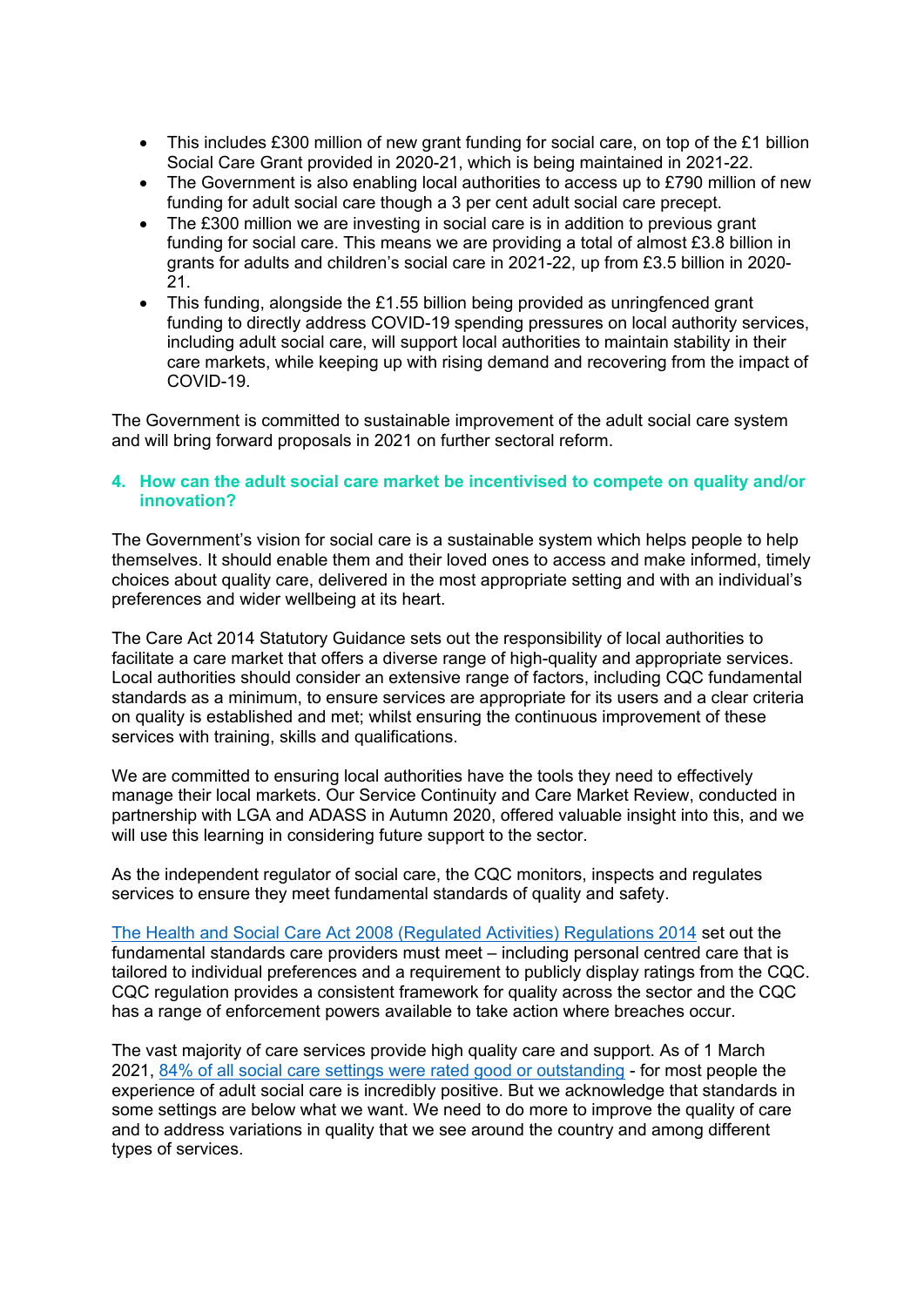- This includes £300 million of new grant funding for social care, on top of the £1 billion Social Care Grant provided in 2020-21, which is being maintained in 2021-22.
- The Government is also enabling local authorities to access up to £790 million of new funding for adult social care though a 3 per cent adult social care precept.
- The £300 million we are investing in social care is in addition to previous grant funding for social care. This means we are providing a total of almost £3.8 billion in grants for adults and children's social care in 2021-22, up from £3.5 billion in 2020- 21.
- This funding, alongside the £1.55 billion being provided as unringfenced grant funding to directly address COVID-19 spending pressures on local authority services, including adult social care, will support local authorities to maintain stability in their care markets, while keeping up with rising demand and recovering from the impact of COVID-19.

The Government is committed to sustainable improvement of the adult social care system and will bring forward proposals in 2021 on further sectoral reform.

#### **4. How can the adult social care market be incentivised to compete on quality and/or innovation?**

The Government's vision for social care is a sustainable system which helps people to help themselves. It should enable them and their loved ones to access and make informed, timely choices about quality care, delivered in the most appropriate setting and with an individual's preferences and wider wellbeing at its heart.

The Care Act 2014 Statutory Guidance sets out the responsibility of local authorities to facilitate a care market that offers a diverse range of high-quality and appropriate services. Local authorities should consider an extensive range of factors, including CQC fundamental standards as a minimum, to ensure services are appropriate for its users and a clear criteria on quality is established and met; whilst ensuring the continuous improvement of these services with training, skills and qualifications.

We are committed to ensuring local authorities have the tools they need to effectively manage their local markets. Our Service Continuity and Care Market Review, conducted in partnership with LGA and ADASS in Autumn 2020, offered valuable insight into this, and we will use this learning in considering future support to the sector.

As the independent regulator of social care, the CQC monitors, inspects and regulates services to ensure they meet fundamental standards of quality and safety.

[The](https://www.legislation.gov.uk/uksi/2014/2936/contents/made) [Health](https://www.legislation.gov.uk/uksi/2014/2936/contents/made) [and](https://www.legislation.gov.uk/uksi/2014/2936/contents/made) [Social](https://www.legislation.gov.uk/uksi/2014/2936/contents/made) [Care](https://www.legislation.gov.uk/uksi/2014/2936/contents/made) [Act](https://www.legislation.gov.uk/uksi/2014/2936/contents/made) [2008](https://www.legislation.gov.uk/uksi/2014/2936/contents/made) [\(Regulated](https://www.legislation.gov.uk/uksi/2014/2936/contents/made) [Activities\)](https://www.legislation.gov.uk/uksi/2014/2936/contents/made) [Regulations](https://www.legislation.gov.uk/uksi/2014/2936/contents/made) [2014](https://www.legislation.gov.uk/uksi/2014/2936/contents/made) set out the fundamental standards care providers must meet – including personal centred care that is tailored to individual preferences and a requirement to publicly display ratings from the CQC. CQC regulation provides a consistent framework for quality across the sector and the CQC has a range of enforcement powers available to take action where breaches occur.

The vast majority of care services provide high quality care and support. As of 1 March 2021, [84%](https://www.cqc.org.uk/about-us/transparency/using-cqc-data.) [of](https://www.cqc.org.uk/about-us/transparency/using-cqc-data.) [all](https://www.cqc.org.uk/about-us/transparency/using-cqc-data.) [social](https://www.cqc.org.uk/about-us/transparency/using-cqc-data.) [care](https://www.cqc.org.uk/about-us/transparency/using-cqc-data.) [settings](https://www.cqc.org.uk/about-us/transparency/using-cqc-data.) [were](https://www.cqc.org.uk/about-us/transparency/using-cqc-data.) [rated](https://www.cqc.org.uk/about-us/transparency/using-cqc-data.) [good](https://www.cqc.org.uk/about-us/transparency/using-cqc-data.) [or](https://www.cqc.org.uk/about-us/transparency/using-cqc-data.) [outstanding](https://www.cqc.org.uk/about-us/transparency/using-cqc-data.) - for most people the experience of adult social care is incredibly positive. But we acknowledge that standards in some settings are below what we want. We need to do more to improve the quality of care and to address variations in quality that we see around the country and among different types of services.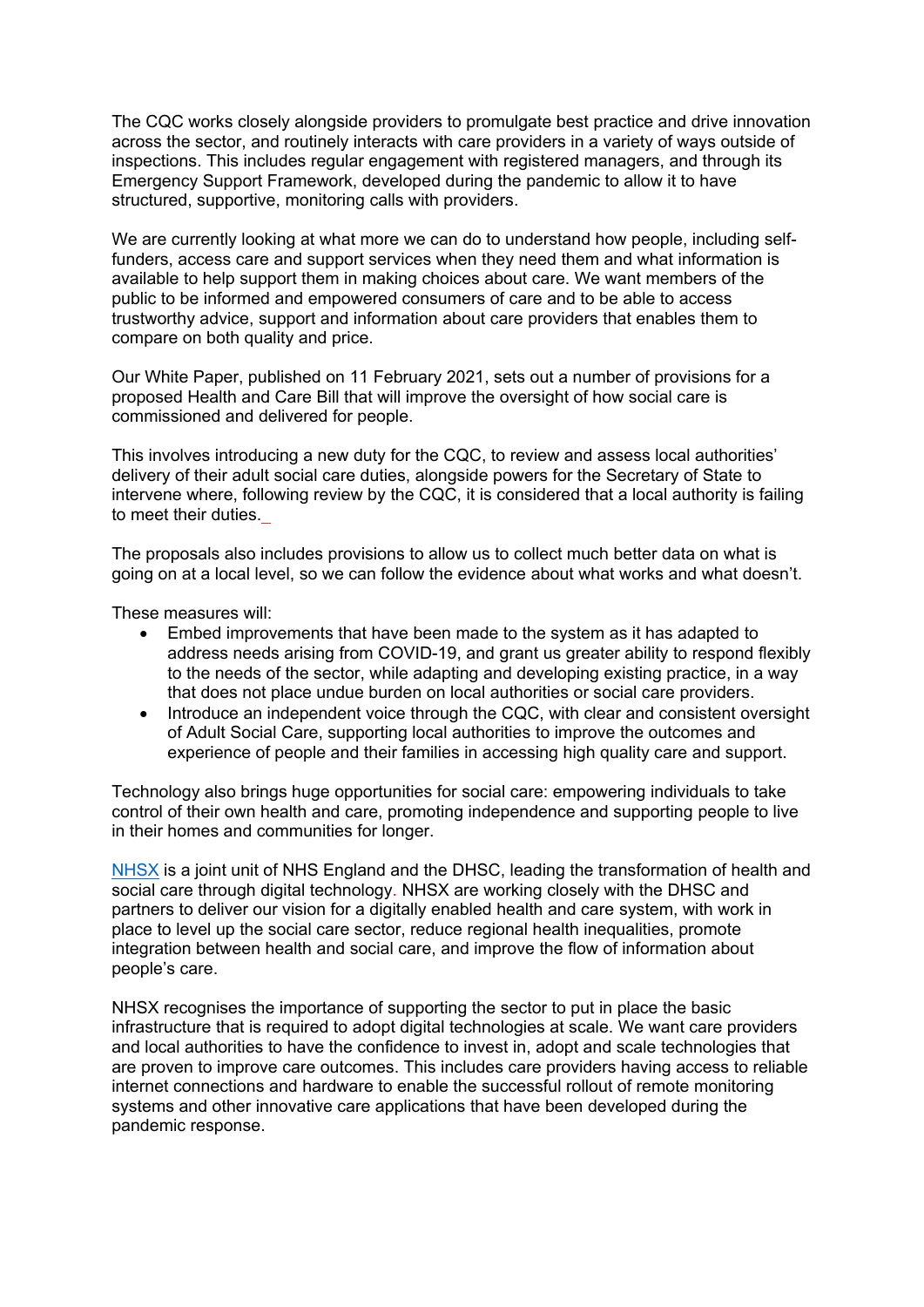The CQC works closely alongside providers to promulgate best practice and drive innovation across the sector, and routinely interacts with care providers in a variety of ways outside of inspections. This includes regular engagement with registered managers, and through its Emergency Support Framework, developed during the pandemic to allow it to have structured, supportive, monitoring calls with providers.

We are currently looking at what more we can do to understand how people, including selffunders, access care and support services when they need them and what information is available to help support them in making choices about care. We want members of the public to be informed and empowered consumers of care and to be able to access trustworthy advice, support and information about care providers that enables them to compare on both quality and price.

Our White Paper, published on 11 February 2021, sets out a number of provisions for a proposed Health and Care Bill that will improve the oversight of how social care is commissioned and delivered for people.

This involves introducing a new duty for the CQC, to review and assess local authorities' delivery of their adult social care duties, alongside powers for the Secretary of State to intervene where, following review by the CQC, it is considered that a local authority is failing to meet their duties.

The proposals also includes provisions to allow us to collect much better data on what is going on at a local level, so we can follow the evidence about what works and what doesn't.

These measures will:

- Embed improvements that have been made to the system as it has adapted to address needs arising from COVID-19, and grant us greater ability to respond flexibly to the needs of the sector, while adapting and developing existing practice, in a way that does not place undue burden on local authorities or social care providers.
- Introduce an independent voice through the CQC, with clear and consistent oversight of Adult Social Care, supporting local authorities to improve the outcomes and experience of people and their families in accessing high quality care and support.

Technology also brings huge opportunities for social care: empowering individuals to take control of their own health and care, promoting independence and supporting people to live in their homes and communities for longer.

[NHSX](https://www.nhsx.nhs.uk/) is a joint unit of NHS England and the DHSC, leading the transformation of health and social care through digital technology. NHSX are working closely with the DHSC and partners to deliver our vision for a digitally enabled health and care system, with work in place to level up the social care sector, reduce regional health inequalities, promote integration between health and social care, and improve the flow of information about people's care.

NHSX recognises the importance of supporting the sector to put in place the basic infrastructure that is required to adopt digital technologies at scale. We want care providers and local authorities to have the confidence to invest in, adopt and scale technologies that are proven to improve care outcomes. This includes care providers having access to reliable internet connections and hardware to enable the successful rollout of remote monitoring systems and other innovative care applications that have been developed during the pandemic response.